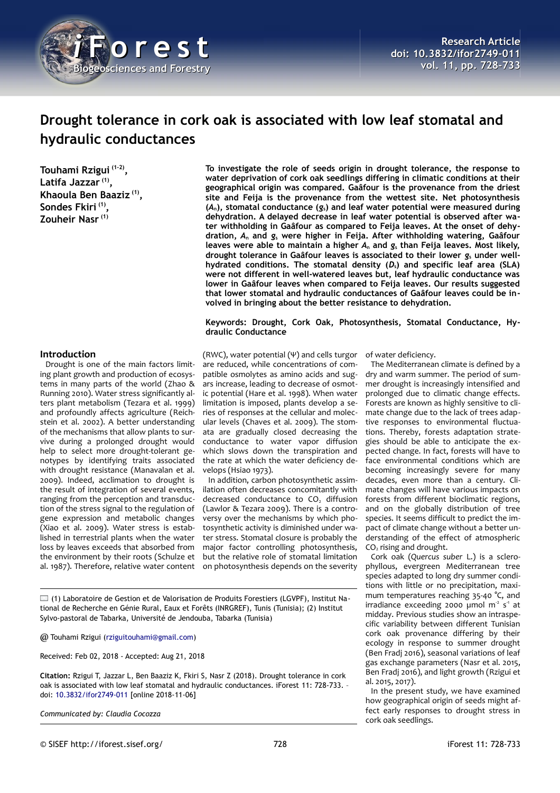

# **Drought tolerance in cork oak is associated with low leaf stomatal and hydraulic conductances**

**Touhami Rzigui (1-2) , Latifa Jazzar (1) , Khaoula Ben Baaziz (1) , Sondes Fkiri (1) , Zouheir Nasr (1)**

**To investigate the role of seeds origin in drought tolerance, the response to water deprivation of cork oak seedlings differing in climatic conditions at their geographical origin was compared. Gaâfour is the provenance from the driest site and Feija is the provenance from the wettest site. Net photosynthesis (***A***n), stomatal conductance (***g***s) and leaf water potential were measured during dehydration. A delayed decrease in leaf water potential is observed after water withholding in Gaâfour as compared to Feija leaves. At the onset of dehydration,** *A***n and** *g***s were higher in Feija. After withholding watering, Gaâfour leaves were able to maintain a higher** *A***n and** *g***s than Feija leaves. Most likely,** drought tolerance in Gaâfour leaves is associated to their lower  $g_s$  under well**hydrated conditions. The stomatal density (***D***s) and specific leaf area (SLA) were not different in well-watered leaves but, leaf hydraulic conductance was lower in Gaâfour leaves when compared to Feija leaves. Our results suggested that lower stomatal and hydraulic conductances of Gaâfour leaves could be involved in bringing about the better resistance to dehydration.**

**Keywords: Drought, Cork Oak, Photosynthesis, Stomatal Conductance, Hydraulic Conductance**

## **Introduction**

Drought is one of the main factors limiting plant growth and production of ecosystems in many parts of the world (Zhao & Running 2010). Water stress significantly alters plant metabolism (Tezara et al. 1999) and profoundly affects agriculture (Reichstein et al. 2002). A better understanding of the mechanisms that allow plants to survive during a prolonged drought would help to select more drought-tolerant genotypes by identifying traits associated with drought resistance (Manavalan et al. 2009). Indeed, acclimation to drought is the result of integration of several events, ranging from the perception and transduction of the stress signal to the regulation of gene expression and metabolic changes (Xiao et al. 2009). Water stress is established in terrestrial plants when the water loss by leaves exceeds that absorbed from the environment by their roots (Schulze et al. 1987). Therefore, relative water content

(RWC), water potential (Ψ) and cells turgor are reduced, while concentrations of compatible osmolytes as amino acids and sugars increase, leading to decrease of osmotic potential (Hare et al. 1998). When water limitation is imposed, plants develop a series of responses at the cellular and molecular levels (Chaves et al. 2009). The stomata are gradually closed decreasing the conductance to water vapor diffusion which slows down the transpiration and the rate at which the water deficiency develops (Hsiao 1973).

In addition, carbon photosynthetic assimilation often decreases concomitantly with decreased conductance to  $CO<sub>2</sub>$  diffusion (Lawlor & Tezara 2009). There is a controversy over the mechanisms by which photosynthetic activity is diminished under water stress. Stomatal closure is probably the major factor controlling photosynthesis, but the relative role of stomatal limitation on photosynthesis depends on the severity

(1) Laboratoire de Gestion et de Valorisation de Produits Forestiers (LGVPF), Institut National de Recherche en Génie Rural, Eaux et Forêts (INRGREF), Tunis (Tunisia); (2) Institut Sylvo-pastoral de Tabarka, Université de Jendouba, Tabarka (Tunisia)

@ Touhami Rzigui [\(rziguitouhami@gmail.com\)](mailto:rziguitouhami@gmail.com)

Received: Feb 02, 2018 - Accepted: Aug 21, 2018

**Citation:** Rzigui T, Jazzar L, Ben Baaziz K, Fkiri S, Nasr Z (2018). Drought tolerance in cork oak is associated with low leaf stomatal and hydraulic conductances. iForest 11: 728-733. – doi: [10.3832/ifor2749-011](http://www.sisef.it/iforest/contents/?id=ifor2749-011) [online 2018-11-06]

*Communicated by: Claudia Cocozza*

of water deficiency.

The Mediterranean climate is defined by a dry and warm summer. The period of summer drought is increasingly intensified and prolonged due to climatic change effects. Forests are known as highly sensitive to climate change due to the lack of trees adaptive responses to environmental fluctuations. Thereby, forests adaptation strategies should be able to anticipate the expected change. In fact, forests will have to face environmental conditions which are becoming increasingly severe for many decades, even more than a century. Climate changes will have various impacts on forests from different bioclimatic regions, and on the globally distribution of tree species. It seems difficult to predict the impact of climate change without a better understanding of the effect of atmospheric CO2 rising and drought.

Cork oak (*Quercus suber* L.) is a sclerophyllous, evergreen Mediterranean tree species adapted to long dry summer conditions with little or no precipitation, maximum temperatures reaching 35-40 °C, and irradiance exceeding 2000  $\mu$ mol m<sup>2</sup> s<sup>1</sup> at midday. Previous studies show an intraspecific variability between different Tunisian cork oak provenance differing by their ecology in response to summer drought (Ben Fradj 2016), seasonal variations of leaf gas exchange parameters (Nasr et al. 2015, Ben Fradj 2016), and light growth (Rzigui et al. 2015, 2017).

In the present study, we have examined how geographical origin of seeds might affect early responses to drought stress in cork oak seedlings.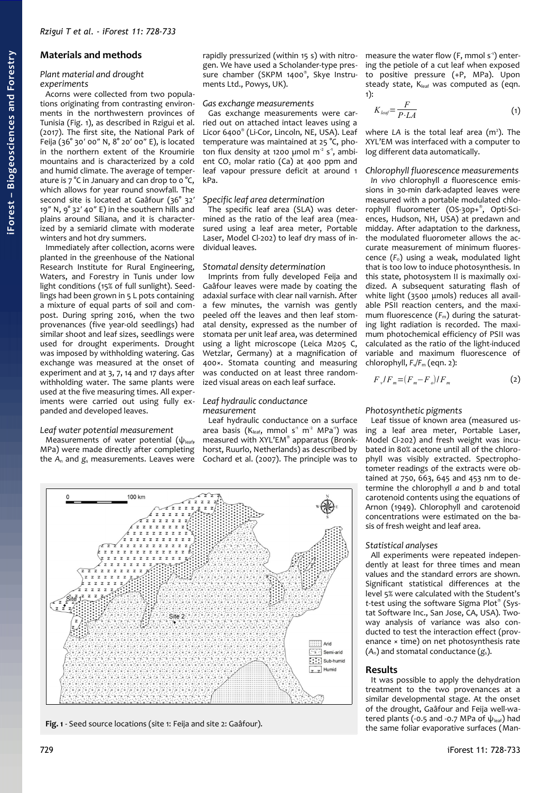# **Materials and methods**

#### *Plant material and drought experiments*

Acorns were collected from two populations originating from contrasting environments in the northwestern provinces of Tunisia [\(Fig. 1\)](#page-1-0), as described in Rzigui et al. (2017). The first site, the National Park of Feija (36° 30′ 00″ N, 8° 20′ 00″ E), is located in the northern extent of the Kroumirie mountains and is characterized by a cold and humid climate. The average of temperature is  $7^{\circ}$ C in January and can drop to o $^{\circ}$ C, which allows for year round snowfall. The second site is located at Gaâfour (36° 32' 19″ N, 9° 32′ 40″ E) in the southern hills and plains around Siliana, and it is characterized by a semiarid climate with moderate winters and hot dry summers.

Immediately after collection, acorns were planted in the greenhouse of the National Research Institute for Rural Engineering, Waters, and Forestry in Tunis under low light conditions (15% of full sunlight). Seedlings had been grown in 5 L pots containing a mixture of equal parts of soil and compost. During spring 2016, when the two provenances (five year-old seedlings) had similar shoot and leaf sizes, seedlings were used for drought experiments. Drought was imposed by withholding watering. Gas exchange was measured at the onset of experiment and at 3, 7, 14 and 17 days after withholding water. The same plants were used at the five measuring times. All experiments were carried out using fully expanded and developed leaves.

#### *Leaf water potential measurement*

Measurements of water potential  $(\psi_{\text{leaf}},$ MPa) were made directly after completing the *A*n and *g*s measurements. Leaves were rapidly pressurized (within 15 s) with nitrogen. We have used a Scholander-type pressure chamber (SKPM 1400® , Skye Instruments Ltd., Powys, UK).

#### *Gas exchange measurements*

Gas exchange measurements were carried out on attached intact leaves using a Licor 6400® (Li-Cor, Lincoln, NE, USA). Leaf temperature was maintained at 25 °C, photon flux density at 1200  $\mu$ mol m<sup>2</sup> s<sup>1</sup>, ambient  $CO<sub>2</sub>$  molar ratio  $(Ca)$  at 400 ppm and leaf vapour pressure deficit at around 1 kPa.

## *Specific leaf area determination*

The specific leaf area (SLA) was determined as the ratio of the leaf area (measured using a leaf area meter, Portable Laser, Model Cl-202) to leaf dry mass of individual leaves.

#### *Stomatal density determination*

Imprints from fully developed Feija and Gaâfour leaves were made by coating the adaxial surface with clear nail varnish. After a few minutes, the varnish was gently peeled off the leaves and then leaf stomatal density, expressed as the number of stomata per unit leaf area, was determined using a light microscope (Leica M205 C, Wetzlar, Germany) at a magnification of 400×. Stomata counting and measuring was conducted on at least three randomized visual areas on each leaf surface.

## *Leaf hydraulic conductance measurement*

Leaf hydraulic conductance on a surface area basis ( $K_{leaf}$ , mmol s<sup>-1</sup> m<sup>-2</sup> MPa<sup>-1</sup>) was measured with XYL'EM® apparatus (Bronkhorst, Ruurlo, Netherlands) as described by Cochard et al. (2007). The principle was to



<span id="page-1-0"></span>**Fig. 1** - Seed source locations (site 1: Feija and site 2: Gaâfour).

measure the water flow (F, mmol  $s<sup>-1</sup>$ ) entering the petiole of a cut leaf when exposed to positive pressure (+P, MPa). Upon steady state,  $K_{\text{leaf}}$  was computed as (eqn. 1):

$$
K_{\text{leaf}} = \frac{F}{P \cdot LA} \tag{1}
$$

where LA is the total leaf area (m<sup>2</sup>). The XYL'EM was interfaced with a computer to log different data automatically.

#### *Chlorophyll fluorescence measurements*

*In vivo* chlorophyll *a* fluorescence emissions in 30-min dark-adapted leaves were measured with a portable modulated chlorophyll fluorometer (OS-30p+® , Opti-Sciences, Hudson, NH, USA) at predawn and midday. After adaptation to the darkness, the modulated fluorometer allows the accurate measurement of minimum fluorescence (*F*o) using a weak, modulated light that is too low to induce photosynthesis. In this state, photosystem II is maximally oxidized. A subsequent saturating flash of white light (3500 μmols) reduces all available PSII reaction centers, and the maximum fluorescence (F<sub>m</sub>) during the saturating light radiation is recorded. The maximum photochemical efficiency of PSII was calculated as the ratio of the light-induced variable and maximum fluorescence of chlorophyll, *F*v*/F*m (eqn. 2):

$$
F_v/F_m = (F_m - F_o)/F_m \tag{2}
$$

## *Photosynthetic pigments*

Leaf tissue of known area (measured using a leaf area meter, Portable Laser, Model Cl-202) and fresh weight was incubated in 80% acetone until all of the chlorophyll was visibly extracted. Spectrophotometer readings of the extracts were obtained at 750, 663, 645 and 453 nm to determine the chlorophyll *a* and *b* and total carotenoid contents using the equations of Arnon (1949). Chlorophyll and carotenoid concentrations were estimated on the basis of fresh weight and leaf area.

#### *Statistical analyses*

All experiments were repeated independently at least for three times and mean values and the standard errors are shown. Significant statistical differences at the level 5% were calculated with the Student's *t*-test using the software Sigma Plot® (Systat Software Inc., San Jose, CA, USA). Twoway analysis of variance was also conducted to test the interaction effect (provenance × time) on net photosynthesis rate (*A*n) and stomatal conductance (*g*s).

## **Results**

It was possible to apply the dehydration treatment to the two provenances at a similar developmental stage. At the onset of the drought, Gaâfour and Feija well-watered plants (-0.5 and -0.7 MPa of  $\psi_{\text{leaf}}$ ) had the same foliar evaporative surfaces (Man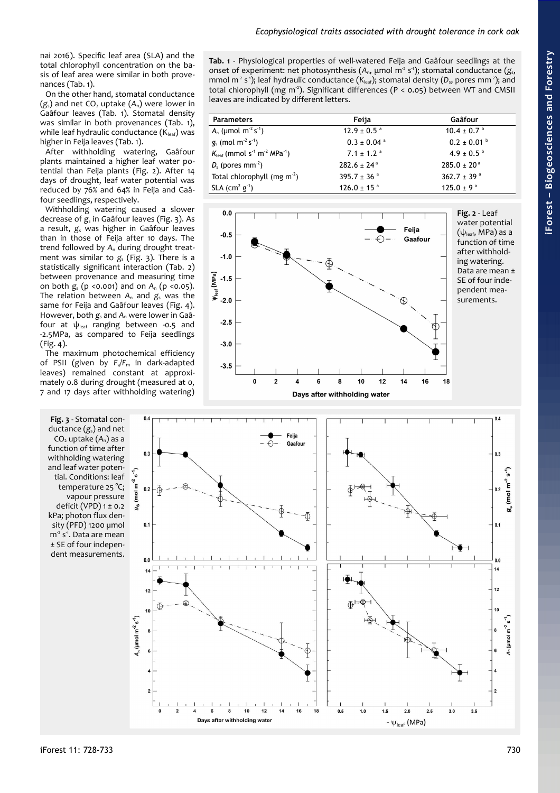nai 2016). Specific leaf area (SLA) and the total chlorophyll concentration on the basis of leaf area were similar in both provenances [\(Tab. 1\)](#page-2-2).

On the other hand, stomatal conductance ( $g_s$ ) and net CO<sub>2</sub> uptake ( $A_n$ ) were lower in Gaâfour leaves [\(Tab. 1\)](#page-2-2). Stomatal density was similar in both provenances [\(Tab. 1\)](#page-2-2), while leaf hydraulic conductance  $(K_{\text{leaf}})$  was higher in Feija leaves [\(Tab. 1\)](#page-2-2).

After withholding watering, Gaâfour plants maintained a higher leaf water potential than Feija plants [\(Fig. 2\)](#page-2-1). After 14 days of drought, leaf water potential was reduced by 76% and 64% in Feija and Gaâfour seedlings, respectively.

Withholding watering caused a slower decrease of *g*s in Gaâfour leaves [\(Fig. 3\)](#page-2-0). As a result, *g*s was higher in Gaâfour leaves than in those of Feija after 10 days. The trend followed by *A*n during drought treatment was similar to *g*s [\(Fig. 3\)](#page-2-0). There is a statistically significant interaction [\(Tab. 2\)](#page-3-1) between provenance and measuring time on both *g*s (p <0.001) and on *A*n (p <0.05). The relation between A<sub>n</sub> and *g*<sub>s</sub> was the same for Feija and Gaâfour leaves [\(Fig. 4\)](#page-3-0). However, both *g*s and *A*n were lower in Gaâfour at  $\psi_{\text{leaf}}$  ranging between -0.5 and -2.5MPa, as compared to Feija seedlings [\(Fig. 4\)](#page-3-0).

The maximum photochemical efficiency of PSII (given by  $F\sqrt{F_m}$  in dark-adapted leaves) remained constant at approximately 0.8 during drought (measured at 0, 7 and 17 days after withholding watering)

<span id="page-2-0"></span>**Fig. 3** - Stomatal conductance (*g*s) and net CO2 uptake (*A*n) as a function of time after withholding watering and leaf water potential. Conditions: leaf temperature 25 °C; vapour pressure deficit (VPD)  $1 \pm 0.2$ kPa; photon flux density (PFD) 1200 µmol m<sup>-2</sup> s<sup>-1</sup>. Data are mean ± SE of four independent measurements.

<span id="page-2-2"></span>**Tab. 1** - Physiological properties of well-watered Feija and Gaâfour seedlings at the onset of experiment: net photosynthesis (*A*n, μmol m-2 s-1); stomatal conductance (*g*s, mmol m<sup>-2</sup> s<sup>-1</sup>); leaf hydraulic conductance ( $K_{\text{leaf}}$ ); stomatal density (D<sub>s</sub>, pores mm<sup>-2</sup>); and total chlorophyll (mg m<sup>-2</sup>). Significant differences (P < 0.05) between WT and CMSII leaves are indicated by different letters.

| <b>Parameters</b>                                                           | Feija                       | Gaâfour                             |
|-----------------------------------------------------------------------------|-----------------------------|-------------------------------------|
| $A_n$ (µmol m <sup>-2</sup> s <sup>-1</sup> )                               | $12.9 \pm 0.5$ <sup>a</sup> | $10.4 \pm 0.7$ <sup>b</sup>         |
| $g_s$ (mol m <sup>2</sup> s <sup>-1</sup> )                                 | $0.3 \pm 0.04$ <sup>a</sup> | $0.2 \pm 0.01$ b                    |
| $K_{\text{leaf}}$ (mmol s <sup>-1</sup> m <sup>-2</sup> MPa <sup>-1</sup> ) | $7.1 \pm 1.2$ <sup>a</sup>  | $4.9 \pm 0.5^{\circ}$               |
| $D_s$ (pores mm <sup>-2</sup> )                                             | $282.6 \pm 24^{\circ}$      | $285.0 \pm 20^{\circ}$              |
| Total chlorophyll (mg $m^2$ )                                               | 395.7 $\pm$ 36 $^{\circ}$   | 362.7 $\pm$ 39 $a$                  |
| SLA $(cm2 g-1)$                                                             | $126.0 \pm 15$ <sup>a</sup> | 125.0 $\pm$ 9 $\textsuperscript{a}$ |

<span id="page-2-1"></span>

 $0.4$  $0.4$ Feija Gaafou  $0.3$  $0.3$  $m^{-2} s^{-1}$ **و**ل  $(mol m<sup>-2</sup>)$  $0.2$ (mol  $g_{\rm S}$  $g_s^*$  $0.1$  $0<sub>1</sub>$ 12  $1<sup>2</sup>$  $A_n$  (µmol m<sup>-2</sup> s<sup>-1</sup>)  $(mnol m<sup>-2</sup> s<sup>-1</sup>$  $10$  $12$  $14$ 16 18  $0.5$  $1.0$  $1.5$  $20$  $25$  $3.0$ Days after withholding water -  $\psi_{\mathsf{leaf}}$  (MPa)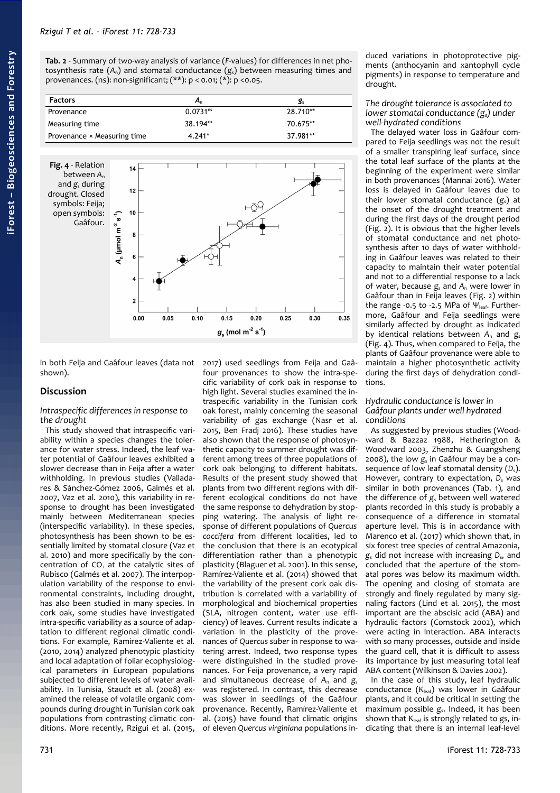<span id="page-3-1"></span>**Tab. 2** - Summary of two-way analysis of variance (*F*-values) for differences in net photosynthesis rate  $(A_n)$  and stomatal conductance  $(g_s)$  between measuring times and provenances. (ns): non-significant; (\*\*): p < 0.01; (\*): p <0.05.

| <b>Factors</b>                     | А,                   | g,       |
|------------------------------------|----------------------|----------|
| Provenance                         | 0.0731 <sup>ns</sup> | 28.710** |
| Measuring time                     | 38.194**             | 70.675** |
| Provenance $\times$ Measuring time | $4.241*$             | 37.981** |

<span id="page-3-0"></span>

in both Feija and Gaâfour leaves (data not shown). 2017) used seedlings from Feija and Gaâ-

# **Discussion**

*Intraspecific differences in response to the drought*

This study showed that intraspecific variability within a species changes the tolerance for water stress. Indeed, the leaf water potential of Gaâfour leaves exhibited a slower decrease than in Feija after a water withholding. In previous studies (Valladares & Sánchez-Gómez 2006, Galmés et al. 2007, Vaz et al. 2010), this variability in response to drought has been investigated mainly between Mediterranean species (interspecific variability). In these species, photosynthesis has been shown to be essentially limited by stomatal closure (Vaz et al. 2010) and more specifically by the concentration of  $CO<sub>2</sub>$  at the catalytic sites of Rubisco (Galmés et al. 2007). The interpopulation variability of the response to environmental constraints, including drought, has also been studied in many species. In cork oak, some studies have investigated intra-specific variability as a source of adaptation to different regional climatic conditions. For example, Ramirez-Valiente et al. (2010, 2014) analyzed phenotypic plasticity and local adaptation of foliar ecophysiological parameters in European populations subjected to different levels of water availability. In Tunisia, Staudt et al. (2008) examined the release of volatile organic compounds during drought in Tunisian cork oak populations from contrasting climatic conditions. More recently, Rzigui et al. (2015,

cific variability of cork oak in response to high light. Several studies examined the intraspecific variability in the Tunisian cork oak forest, mainly concerning the seasonal variability of gas exchange (Nasr et al. 2015, Ben Fradj 2016). These studies have also shown that the response of photosynthetic capacity to summer drought was different among trees of three populations of cork oak belonging to different habitats. Results of the present study showed that plants from two different regions with different ecological conditions do not have the same response to dehydration by stopping watering. The analysis of light response of different populations of *Quercus coccifera* from different localities, led to the conclusion that there is an ecotypical differentiation rather than a phenotypic plasticity (Blaguer et al. 2001). In this sense, Ramírez-Valiente et al. (2014) showed that the variability of the present cork oak distribution is correlated with a variability of morphological and biochemical properties (SLA, nitrogen content, water use efficiency) of leaves. Current results indicate a variation in the plasticity of the provenances of *Quercus suber* in response to watering arrest. Indeed, two response types were distinguished in the studied provenances. For Feija provenance, a very rapid and simultaneous decrease of A<sub>n</sub> and  $g_s$ was registered. In contrast, this decrease was slower in seedlings of the Gaâfour provenance. Recently, Ramírez-Valiente et al. (2015) have found that climatic origins of eleven *Quercus virginiana* populations in-

four provenances to show the intra-spe-

duced variations in photoprotective pigments (anthocyanin and xantophyll cycle pigments) in response to temperature and drought.

#### *The drought tolerance is associated to lower stomatal conductance (gs) under well-hydrated conditions*

The delayed water loss in Gaâfour compared to Feija seedlings was not the result of a smaller transpiring leaf surface, since the total leaf surface of the plants at the beginning of the experiment were similar in both provenances (Mannai 2016). Water loss is delayed in Gaâfour leaves due to their lower stomatal conductance (*g*s) at the onset of the drought treatment and during the first days of the drought period [\(Fig. 2\)](#page-2-1). It is obvious that the higher levels of stomatal conductance and net photosynthesis after 10 days of water withholding in Gaâfour leaves was related to their capacity to maintain their water potential and not to a differential response to a lack of water, because *g*s and *A*n were lower in Gaâfour than in Feija leaves [\(Fig. 2\)](#page-2-1) within the range -0.5 to -2.5 MPa of  $\Psi_{\text{leaf}}$ . Furthermore, Gaâfour and Feija seedlings were similarly affected by drought as indicated by identical relations between *A*n and *g*<sup>s</sup> [\(Fig. 4\)](#page-3-0). Thus, when compared to Feija, the plants of Gaâfour provenance were able to maintain a higher photosynthetic activity during the first days of dehydration conditions.

### *Hydraulic conductance is lower in Gaâfour plants under well hydrated conditions*

As suggested by previous studies (Woodward & Bazzaz 1988, Hetherington & Woodward 2003, Zhenzhu & Guangsheng 2008), the low *g*s in Gaâfour may be a consequence of low leaf stomatal density ( $D_s$ ). However, contrary to expectation,  $D_s$  was similar in both provenances [\(Tab. 1\)](#page-2-2), and the difference of g<sub>s</sub> between well watered plants recorded in this study is probably a consequence of a difference in stomatal aperture level. This is in accordance with Marenco et al. (2017) which shown that, in six forest tree species of central Amazonia, *g*s did not increase with increasing *D*s, and concluded that the aperture of the stomatal pores was below its maximum width. The opening and closing of stomata are strongly and finely regulated by many signaling factors (Lind et al. 2015), the most important are the abscisic acid (ABA) and hydraulic factors (Comstock 2002), which were acting in interaction. ABA interacts with so many processes, outside and inside the guard cell, that it is difficult to assess its importance by just measuring total leaf ABA content (Wilkinson & Davies 2002).

In the case of this study, leaf hydraulic conductance  $(K_{leaf})$  was lower in Gaâfour plants, and it could be critical in setting the maximum possible *g*s. Indeed, it has been shown that Kleaf is strongly related to gs, indicating that there is an internal leaf-level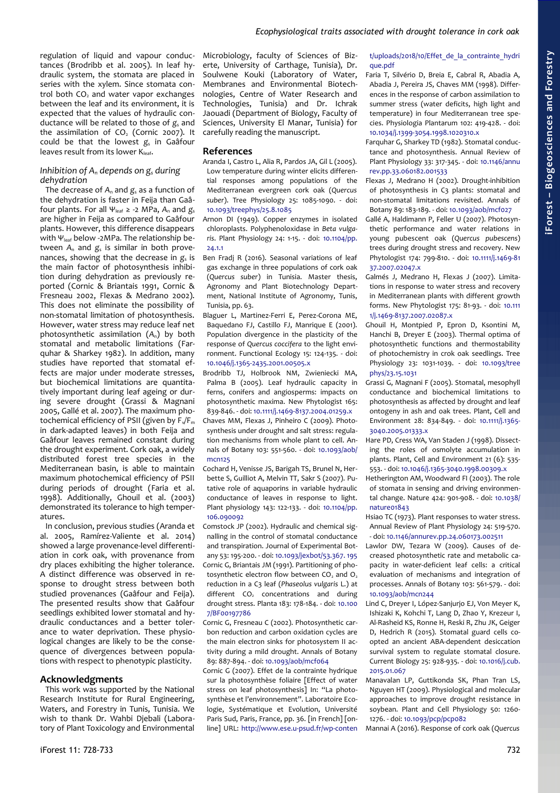regulation of liquid and vapour conductances (Brodribb et al. 2005). In leaf hydraulic system, the stomata are placed in series with the xylem. Since stomata control both  $CO<sub>2</sub>$  and water vapor exchanges between the leaf and its environment, it is expected that the values of hydraulic conductance will be related to those of  $g_s$  and the assimilation of  $CO<sub>2</sub>$  (Cornic 2007). It could be that the lowest *g*s in Gaâfour leaves result from its lower  $K_{\text{leaf}}$ .

## *Inhibition of An depends on gs during dehydration*

The decrease of A<sub>n</sub> and  $g_s$  as a function of the dehydration is faster in Feija than Gaâfour plants. For all Ψleaf ≥ -2 MPa, *A*n and *g*<sup>s</sup> are higher in Feija as compared to Gaâfour plants. However, this difference disappears with  $\Psi_{\text{leaf}}$  below -2MPa. The relationship between *A*n and *g*s is similar in both provenances, showing that the decrease in  $g_s$  is the main factor of photosynthesis inhibition during dehydration as previously reported (Cornic & Briantais 1991, Cornic & Fresneau 2002, Flexas & Medrano 2002). This does not eliminate the possibility of non-stomatal limitation of photosynthesis. However, water stress may reduce leaf net photosynthetic assimilation (*A*n) by both stomatal and metabolic limitations (Farquhar & Sharkey 1982). In addition, many studies have reported that stomatal effects are major under moderate stresses, but biochemical limitations are quantitatively important during leaf ageing or during severe drought (Grassi & Magnani 2005, Gallé et al. 2007). The maximum photochemical efficiency of PSII (given by F<sub>v</sub>/F<sub>m</sub>) in dark-adapted leaves) in both Feija and Gaâfour leaves remained constant during the drought experiment. Cork oak, a widely distributed forest tree species in the Mediterranean basin, is able to maintain maximum photochemical efficiency of PSII during periods of drought (Faria et al. 1998). Additionally, Ghouil et al. (2003) demonstrated its tolerance to high temperatures.

In conclusion, previous studies (Aranda et al. 2005, Ramírez-Valiente et al. 2014) showed a large provenance-level differentiation in cork oak, with provenance from dry places exhibiting the higher tolerance. A distinct difference was observed in response to drought stress between both studied provenances (Gaâfour and Feija). The presented results show that Gaâfour seedlings exhibited lower stomatal and hydraulic conductances and a better tolerance to water deprivation. These physiological changes are likely to be the consequence of divergences between populations with respect to phenotypic plasticity.

# **Acknowledgments**

This work was supported by the National Research Institute for Rural Engineering, Waters, and Forestry in Tunis, Tunisia. We wish to thank Dr. Wahbi Djebali (Laboratory of Plant Toxicology and Environmental

Microbiology, faculty of Sciences of Bizerte, University of Carthage, Tunisia), Dr. Soulwene Kouki (Laboratory of Water, Membranes and Environmental Biotechnologies, Centre of Water Research and Technologies, Tunisia) and Dr. Ichrak Jaouadi (Department of Biology, Faculty of Sciences, University El Manar, Tunisia) for carefully reading the manuscript.

# **References**

- Aranda I, Castro L, Alia R, Pardos JA, Gil L (2005). Low temperature during winter elicits differential responses among populations of the Mediterranean evergreen cork oak (*Quercus suber*). Tree Physiology 25: 1085-1090. - doi: [10.1093/treephys/25.8.1085](https://doi.org/10.1093/treephys/25.8.1085)
- Arnon DI (1949). Copper enzymes in isolated chloroplasts. Polyphenoloxidase in *Beta vulgaris*. Plant Physiology 24: 1-15. - doi: [10.1104/pp.](https://doi.org/10.1104/pp.24.1.1) [24.1.1](https://doi.org/10.1104/pp.24.1.1)
- Ben Fradj R (2016). Seasonal variations of leaf gas exchange in three populations of cork oak (*Quercus suber*) in Tunisia. Master thesis, Agronomy and Plant Biotechnology Department, National Institute of Agronomy, Tunis, Tunisia, pp. 63.
- Blaguer L, Martinez-Ferri E, Perez-Corona ME, Baquedano FJ, Castillo FJ, Manrique E (2001). Population divergence in the plasticity of the response of *Quercus coccifera* to the light environment. Functional Ecology 15: 124-135. - doi: [10.1046/j.1365-2435.2001.00505.x](https://doi.org/10.1046/j.1365-2435.2001.00505.x)
- Brodribb TJ, Holbrook NM, Zwieniecki MA, Palma B (2005). Leaf hydraulic capacity in ferns, conifers and angiosperms: impacts on photosynthetic maxima. New Phytologist 165: 839-846. - doi: [10.1111/j.1469-8137.2004.01259.x](https://doi.org/10.1111/j.1469-8137.2004.01259.x)
- Chaves MM, Flexas J, Pinheiro C (2009). Photosynthesis under drought and salt stress: regulation mechanisms from whole plant to cell. Annals of Botany 103: 551-560. - doi: [10.1093/aob/](https://doi.org/10.1093/aob/mcn125) mcn<sub>125</sub>
- Cochard H, Venisse JS, Barigah TS, Brunel N, Herbette S, Guilliot A, Melvin TT, Sakr S (2007). Putative role of aquaporins in variable hydraulic conductance of leaves in response to light. Plant physiology 143: 122-133. - doi: [10.1104/pp.](https://doi.org/10.1104/pp.106.090092) [106.090092](https://doi.org/10.1104/pp.106.090092)
- Comstock JP (2002). Hydraulic and chemical signalling in the control of stomatal conductance and transpiration. Journal of Experimental Botany 53: 195-200. - doi: [10.1093/jexbot/53.367. 195](https://doi.org/10.1093/jexbot/53.367.195) Cornic G, Briantais JM (1991). Partitioning of photosynthetic electron flow between  $(0, 30d, 0)$ reduction in a C3 leaf (*Phaseolus vulgaris* L.) at different  $CO<sub>2</sub>$  concentrations and during drought stress. Planta 183: 178-184. - doi: [10.100](https://doi.org/10.1007/BF00197786) [7/BF00197786](https://doi.org/10.1007/BF00197786)
- Cornic G, Fresneau C (2002). Photosynthetic carbon reduction and carbon oxidation cycles are the main electron sinks for photosystem II activity during a mild drought. Annals of Botany 89: 887-894. - doi: [10.1093/aob/mcf064](https://doi.org/10.1093/aob/mcf064)
- Cornic G (2007). Effet de la contrainte hydrique sur la photosynthèse foliaire [Effect of water stress on leaf photosynthesis] In: "La photosynthèse et l'environnement". Laboratoire Ecologie, Systématique et Evolution, Université Paris Sud, Paris, France, pp. 36. [in French] [online] URL: [http://www.ese.u-psud.fr/wp-conten](http://www.ese.u-psud.fr/wp-content/uploads/2018/10/Effet_de_la_contrainte_hydrique.pdf)

# t/uploads/2018/10/Effet de la contrainte hydri [que.pdf](http://www.ese.u-psud.fr/wp-content/uploads/2018/10/Effet_de_la_contrainte_hydrique.pdf)

- Faria T, Silvério D, Breia E, Cabral R, Abadia A, Abadia J, Pereira JS, Chaves MM (1998). Differences in the response of carbon assimilation to summer stress (water deficits, high light and temperature) in four Mediterranean tree species. Physiologia Plantarum 102: 419-428. - doi: [10.1034/j.1399-3054.1998.1020310.x](https://doi.org/10.1034/j.1399-3054.1998.1020310.x)
- Farquhar G, Sharkey TD (1982). Stomatal conductance and photosynthesis. Annual Review of Plant Physiology 33: 317-345. - doi: [10.1146/annu](https://doi.org/10.1146/annurev.pp.33.060182.001533) [rev.pp.33.060182.001533](https://doi.org/10.1146/annurev.pp.33.060182.001533)
- Flexas J, Medrano H (2002). Drought-inhibition of photosynthesis in C3 plants: stomatal and non-stomatal limitations revisited. Annals of Botany 89: 183-189. - doi: [10.1093/aob/mcf027](https://doi.org/10.1093/aob/mcf027)
- Gallé A, Haldimann P, Feller U (2007). Photosynthetic performance and water relations in young pubescent oak (*Quercus pubescens*) trees during drought stress and recovery. New Phytologist 174: 799-810. - doi: [10.1111/j.1469-81](https://doi.org/10.1111/j.1469-8137.2007.02047.x) [37.2007.02047.x](https://doi.org/10.1111/j.1469-8137.2007.02047.x)
- Galmés J, Medrano H, Flexas J (2007). Limitations in response to water stress and recovery in Mediterranean plants with different growth forms. New Phytologist 175: 81-93. - doi: [10.111](https://doi.org/10.1111/j.1469-8137.2007.02087.x) [1/j.1469-8137.2007.02087.x](https://doi.org/10.1111/j.1469-8137.2007.02087.x)
- Ghouil H, Montpied P, Epron D, Ksontini M, Hanchi B, Dreyer E (2003). Thermal optima of photosynthetic functions and thermostability of photochemistry in crok oak seedlings. Tree Physiology 23: 1031-1039. - doi: [10.1093/tree](https://doi.org/10.1093/treephys/23.15.1031) [phys/23.15.1031](https://doi.org/10.1093/treephys/23.15.1031)
- Grassi G, Magnani F (2005). Stomatal, mesophyll conductance and biochemical limitations to photosynthesis as affected by drought and leaf ontogeny in ash and oak trees. Plant, Cell and Environment 28: 834-849. - doi: [10.1111/j.1365-](https://doi.org/10.1111/j.1365-3040.2005.01333.x) [3040.2005.01333.x](https://doi.org/10.1111/j.1365-3040.2005.01333.x)
- Hare PD, Cress WA, Van Staden J (1998). Dissecting the roles of osmolyte accumulation in plants. Plant, Cell and Environment 21 (6): 535- 553. - doi: [10.1046/j.1365-3040.1998.00309.x](https://doi.org/10.1046/j.1365-3040.1998.00309.x)
- Hetherington AM, Woodward FI (2003). The role of stomata in sensing and driving environmental change. Nature 424: 901-908. - doi: [10.1038/](https://doi.org/10.1038/nature01843) [nature01843](https://doi.org/10.1038/nature01843)
- Hsiao TC (1973). Plant responses to water stress. Annual Review of Plant Physiology 24: 519-570. - doi: [10.1146/annurev.pp.24.060173.002511](https://doi.org/10.1146/annurev.pp.24.060173.002511)
- Lawlor DW, Tezara W (2009). Causes of decreased photosynthetic rate and metabolic capacity in water-deficient leaf cells: a critical evaluation of mechanisms and integration of processes. Annals of Botany 103: 561-579. - doi: [10.1093/aob/mcn244](https://doi.org/10.1093/aob/mcn244)
- Lind C, Dreyer I, López-Sanjurjo EJ, Von Meyer K, Ishizaki K, Kohchi T, Lang D, Zhao Y, Krezeur I, Al-Rasheid KS, Ronne H, Reski R, Zhu JK, Geiger D, Hedrich R (2015). Stomatal guard cells coopted an ancient ABA-dependent desiccation survival system to regulate stomatal closure. Current Biology 25: 928-935. - doi: [10.1016/j.cub.](https://doi.org/10.1016/j.cub.2015.01.067) [2015.01.067](https://doi.org/10.1016/j.cub.2015.01.067)
- Manavalan LP, Guttikonda SK, Phan Tran LS, Nguyen HT (2009). Physiological and molecular approaches to improve drought resistance in soybean. Plant and Cell Physiology 50: 1260- 1276. - doi: [10.1093/pcp/pcp082](https://doi.org/10.1093/pcp/pcp082)

Mannai A (2016). Response of cork oak (*Quercus*